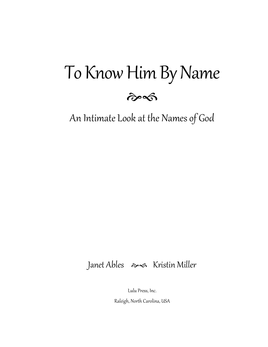## To Know Him By Name



An Intimate Look at the Names of God

### Janet Ables  $\gg$  Kristin Miller

Lulu Press, Inc.

Raleigh, North Carolina, USA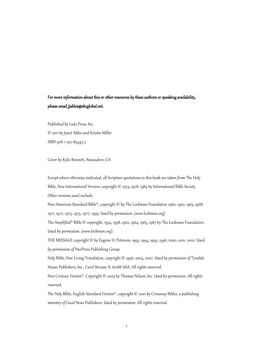#### For more information about this or other resources by these authors or speaking availability, please email jjables@sbcglobal.net.

Published by Lulu Press, Inc. © 2011 by Janet Ables and Kristin Miller ISBN 978-1-257-85433-3

Cover by Kylie Bennett, Atascadero, CA

Except where otherwise indicated, all Scripture quotations in this book are taken from The Holy Bible, New International Version, copyright © 1973, 1978, 1984 by International Bible Society. Other versions used include:

New American Standard Bible®, copyright © by The Lockman Foundation 1960, 1962, 1963, 1968, 1971, 1972, 1973, 1975, 1977, 1995. Used by permission. (www.lockman.org).

The Amplified® Bible © copyright, 1954, 1958, 1962, 1964, 1965, 1987 by The Lockman Foundation. Used by permission. (www.lockman.org).

THE MESSAGE copyright © by Eugene H. Peterson, 1993, 1994, 1995, 1996, 2000, 2001, 2002. Used by permission of NavPress Publishing Group.

Holy Bible, New Living Translation, copyright © 1996, 2004, 2007. Used by permission of Tyndale House Publishers, Inc., Carol Stream, IL 60188 USA. All rights reserved.

New Century Version®. Copyright © 2005 by Thomas Nelson, Inc. Used by permission. All rights reserved.

The Holy Bible, English Standard Version®, copyright © 2001 by Crossway Bibles, a publishing ministry of Good News Publishers. Used by permission. All rights reserved.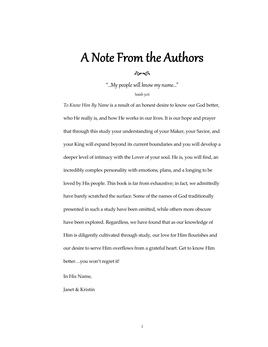## A Note From the Authors

#### $\hat{\sigma}$

"…My people will know my name…"

Isaiah 52:6

*To Know Him By Name* is a result of an honest desire to know our God better, who He really is, and how He works in our lives. It is our hope and prayer that through this study your understanding of your Maker, your Savior, and your King will expand beyond its current boundaries and you will develop a deeper level of intimacy with the Lover of your soul. He is, you will find, an incredibly complex personality with emotions, plans, and a longing to be loved by His people. This book is far from exhaustive; in fact, we admittedly have barely scratched the surface. Some of the names of God traditionally presented in such a study have been omitted, while others more obscure have been explored. Regardless, we have found that as our knowledge of Him is diligently cultivated through study, our love for Him flourishes and our desire to serve Him overflows from a grateful heart. Get to know Him better…you won't regret it!

In His Name,

Janet & Kristin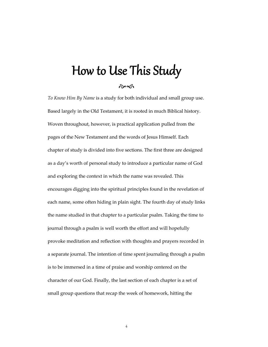## How to Use This Study

ef

*To Know Him By Name* is a study for both individual and small group use. Based largely in the Old Testament, it is rooted in much Biblical history. Woven throughout, however, is practical application pulled from the pages of the New Testament and the words of Jesus Himself. Each chapter of study is divided into five sections. The first three are designed as a day's worth of personal study to introduce a particular name of God and exploring the context in which the name was revealed. This encourages digging into the spiritual principles found in the revelation of each name, some often hiding in plain sight. The fourth day of study links the name studied in that chapter to a particular psalm. Taking the time to journal through a psalm is well worth the effort and will hopefully provoke meditation and reflection with thoughts and prayers recorded in a separate journal. The intention of time spent journaling through a psalm is to be immersed in a time of praise and worship centered on the character of our God. Finally, the last section of each chapter is a set of small group questions that recap the week of homework, hitting the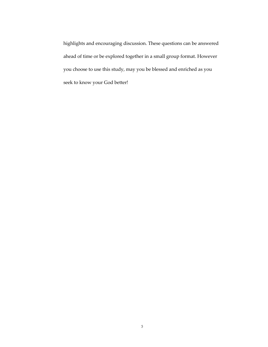highlights and encouraging discussion. These questions can be answered ahead of time or be explored together in a small group format. However you choose to use this study, may you be blessed and enriched as you seek to know your God better!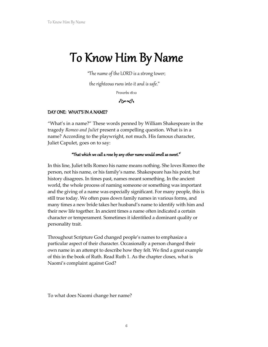# ${\mathop{\mathsf{To}}\nolimits}$  Know  ${\mathop{\mathsf{Him}}\nolimits}$  By Name  ${\mathop{\mathsf{H\!}}\nolimits}$  "The name of the LORD is a strong tower;

the righteous runs into it and is safe."

Proverbs 18:10

#### $\hat{\sigma}$

#### DAY ONE: WHAT'S IN A NAME?

"What's in a name?" These words penned by William Shakespeare in the tragedy *Romeo and Juliet* present a compelling question. What is in a name? According to the playwright, not much. His famous character, Juliet Capulet, goes on to say:

#### "That which we call a rose by any other name would smell as sweet." $^{\prime}$

In this line, Juliet tells Romeo his name means nothing. She loves Romeo the person, not his name, or his family's name. Shakespeare has his point, but history disagrees. In times past, names meant something. In the ancient world, the whole process of naming someone or something was important and the giving of a name was especially significant. For many people, this is still true today. We often pass down family names in various forms, and many times a new bride takes her husband's name to identify with him and their new life together. In ancient times a name often indicated a certain character or temperament. Sometimes it identified a dominant quality or personality trait.

Throughout Scripture God changed people's names to emphasize a particular aspect of their character. Occasionally a person changed their own name in an attempt to describe how they felt. We find a great example of this in the book of Ruth. Read Ruth 1. As the chapter closes, what is Naomi's complaint against God?

To what does Naomi change her name?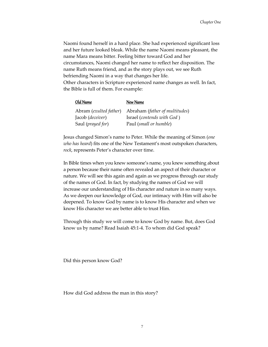Naomi found herself in a hard place. She had experienced significant loss and her future looked bleak. While the name Naomi means pleasant, the name Mara means bitter. Feeling bitter toward God and her circumstances, Naomi changed her name to reflect her disposition. The name Ruth means friend, and as the story plays out, we see Ruth befriending Naomi in a way that changes her life. Other characters in Scripture experienced name changes as well. In fact, the Bible is full of them. For example:

| Old Name               | <u>New Name</u>                 |
|------------------------|---------------------------------|
| Abram (exulted father) | Abraham (father of multitudes)  |
| Jacob (deceiver)       | Israel (contends with God)      |
| Saul (prayed for)      | Paul ( <i>small or humble</i> ) |

Jesus changed Simon's name to Peter. While the meaning of Simon (*one who has heard*) fits one of the New Testament's most outspoken characters, *rock*, represents Peter's character over time.

In Bible times when you knew someone's name, you knew something about a person because their name often revealed an aspect of their character or nature. We will see this again and again as we progress through our study of the names of God. In fact, by studying the names of God we will increase our understanding of His character and nature in so many ways. As we deepen our knowledge of God, our intimacy with Him will also be deepened. To know God by name is to know His character and when we know His character we are better able to trust Him.

Through this study we will come to know God by name. But, does God know us by name? Read Isaiah 45:1-4. To whom did God speak?

Did this person know God?

How did God address the man in this story?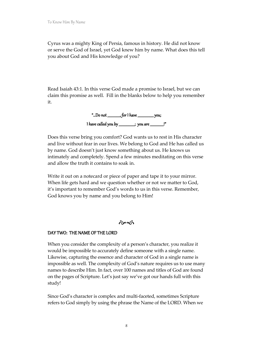Cyrus was a mighty King of Persia, famous in history. He did not know or serve the God of Israel, yet God knew him by name. What does this tell you about God and His knowledge of you?

Read Isaiah 43:1. In this verse God made a promise to Israel, but we can claim this promise as well. Fill in the blanks below to help you remember it.

> "...Do not  $f(x) = f(x)$  have you; I have called you by \_\_\_\_\_\_\_\_\_\_\_\_\_\_\_\_\_\_\_; you are \_\_\_\_\_\_\_\_\_\_\_\_\_\_\_\_!"

Does this verse bring you comfort? God wants us to rest in His character and live without fear in our lives. We belong to God and He has called us by name. God doesn't just know something about us. He knows us intimately and completely. Spend a few minutes meditating on this verse and allow the truth it contains to soak in.

Write it out on a notecard or piece of paper and tape it to your mirror. When life gets hard and we question whether or not we matter to God, it's important to remember God's words to us in this verse. Remember, God knows you by name and you belong to Him!

 $\hat{\sigma}$ 

#### DAY TWO: THE NAME OF THE LORD

When you consider the complexity of a person's character, you realize it would be impossible to accurately define someone with a single name. Likewise, capturing the essence and character of God in a single name is impossible as well. The complexity of God's nature requires us to use many names to describe Him. In fact, over 100 names and titles of God are found on the pages of Scripture. Let's just say we've got our hands full with this study!

Since God's character is complex and multi-faceted, sometimes Scripture refers to God simply by using the phrase the Name of the LORD. When we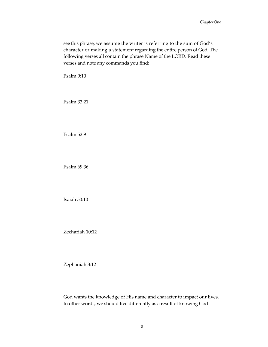see this phrase, we assume the writer is referring to the sum of God's character or making a statement regarding the entire person of God. The following verses all contain the phrase Name of the LORD. Read these verses and note any commands you find:

Psalm 9:10

Psalm 33:21

Psalm 52:9

Psalm 69:36

Isaiah 50:10

Zechariah 10:12

Zephaniah 3:12

God wants the knowledge of His name and character to impact our lives. In other words, we should live differently as a result of knowing God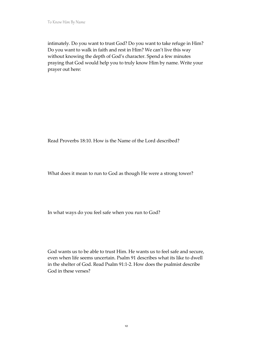intimately. Do you want to trust God? Do you want to take refuge in Him? Do you want to walk in faith and rest in Him? We can't live this way without knowing the depth of God's character. Spend a few minutes praying that God would help you to truly know Him by name. Write your prayer out here:

Read Proverbs 18:10. How is the Name of the Lord described?

What does it mean to run to God as though He were a strong tower?

In what ways do you feel safe when you run to God?

God wants us to be able to trust Him. He wants us to feel safe and secure, even when life seems uncertain. Psalm 91 describes what its like to dwell in the shelter of God. Read Psalm 91:1-2. How does the psalmist describe God in these verses?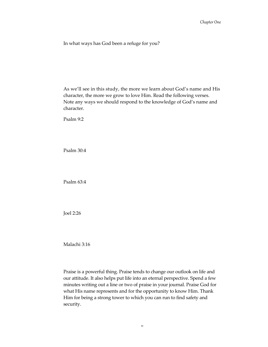In what ways has God been a refuge for you?

As we'll see in this study, the more we learn about God's name and His character, the more we grow to love Him. Read the following verses. Note any ways we should respond to the knowledge of God's name and character.

Psalm 9:2

Psalm 30:4

Psalm 63:4

Joel 2:26

Malachi 3:16

Praise is a powerful thing. Praise tends to change our outlook on life and our attitude. It also helps put life into an eternal perspective. Spend a few minutes writing out a line or two of praise in your journal. Praise God for what His name represents and for the opportunity to know Him. Thank Him for being a strong tower to which you can run to find safety and security.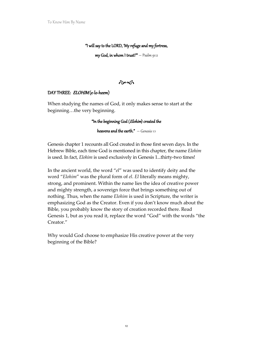#### "I will say to the LORD, 'My refuge and my fortress,

my God, in whom  $1$  trust!" – Psalm 91:2

#### $\hat{\sigma}$

#### DAY THREE: ELOHIM (e-lo-heem)

When studying the names of God, it only makes sense to start at the beginning…the very beginning.

#### "In the beginning God (Elohim) created the

heavens and the earth."  $-$  Genesis 1:1

Genesis chapter 1 recounts all God created in those first seven days. In the Hebrew Bible, each time God is mentioned in this chapter, the name *Elohim* is used. In fact, *Elohim* is used exclusively in Genesis 1...thirty-two times!

In the ancient world, the word "*el*" was used to identify deity and the word "*Elohim*" was the plural form of *el*. *El* literally means mighty, strong, and prominent. Within the name lies the idea of creative power and mighty strength, a sovereign force that brings something out of nothing. Thus, when the name *Elohim* is used in Scripture, the writer is emphasizing God as the Creator. Even if you don't know much about the Bible, you probably know the story of creation recorded there. Read Genesis 1, but as you read it, replace the word "God" with the words "the Creator."

Why would God choose to emphasize His creative power at the very beginning of the Bible?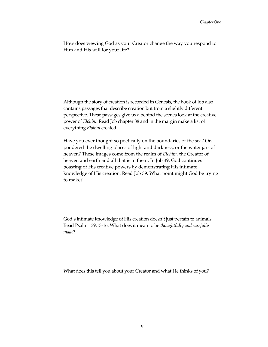How does viewing God as your Creator change the way you respond to Him and His will for your life?

Although the story of creation is recorded in Genesis, the book of Job also contains passages that describe creation but from a slightly different perspective. These passages give us a behind the scenes look at the creative power of *Elohim*. Read Job chapter 38 and in the margin make a list of everything *Elohim* created.

Have you ever thought so poetically on the boundaries of the sea? Or, pondered the dwelling places of light and darkness, or the water jars of heaven? These images come from the realm of *Elohim*, the Creator of heaven and earth and all that is in them. In Job 39, God continues boasting of His creative powers by demonstrating His intimate knowledge of His creation. Read Job 39. What point might God be trying to make?

God's intimate knowledge of His creation doesn't just pertain to animals. Read Psalm 139:13-16. What does it mean to be *thoughtfully and carefully made*?

What does this tell you about your Creator and what He thinks of you?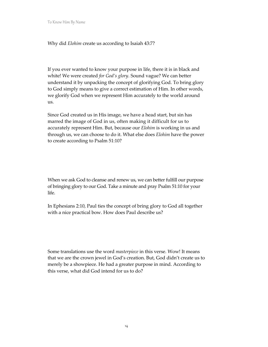To Know Him By Name

Why did *Elohim* create us according to Isaiah 43:7?

If you ever wanted to know your purpose in life, there it is in black and white! We were created *for God's glory*. Sound vague? We can better understand it by unpacking the concept of glorifying God. To bring glory to God simply means to give a correct estimation of Him. In other words, we glorify God when we represent Him accurately to the world around us.

Since God created us in His image, we have a head start, but sin has marred the image of God in us, often making it difficult for us to accurately represent Him. But, because our *Elohim* is working in us and through us, we can choose to do it. What else does *Elohim* have the power to create according to Psalm 51:10?

When we ask God to cleanse and renew us, we can better fulfill our purpose of bringing glory to our God. Take a minute and pray Psalm 51:10 for your life.

In Ephesians 2:10, Paul ties the concept of bring glory to God all together with a nice practical bow. How does Paul describe us?

Some translations use the word *masterpiece* in this verse. Wow! It means that we are the crown jewel in God's creation. But, God didn't create us to merely be a showpiece. He had a greater purpose in mind. According to this verse, what did God intend for us to do?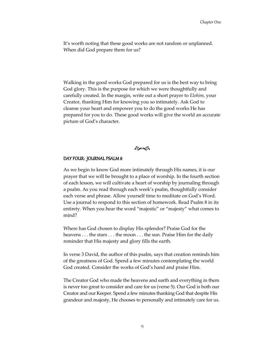It's worth noting that these good works are not random or unplanned. When did God prepare them for us?

Walking in the good works God prepared for us is the best way to bring God glory. This is the purpose for which we were thoughtfully and carefully created. In the margin, write out a short prayer to *Elohim*, your Creator, thanking Him for knowing you so intimately. Ask God to cleanse your heart and empower you to do the good works He has prepared for you to do. These good works will give the world an accurate picture of God's character.

 $\hat{\sigma}$ 

#### DAY FOUR: JOURNAL PSALM 8

As we begin to know God more intimately through His names, it is our prayer that we will be brought to a place of worship. In the fourth section of each lesson, we will cultivate a heart of worship by journaling through a psalm. As you read through each week's psalm, thoughtfully consider each verse and phrase. Allow yourself time to meditate on God's Word. Use a journal to respond to this section of homework. Read Psalm 8 in its entirety. When you hear the word "majestic" or "majesty" what comes to mind?

Where has God chosen to display His splendor? Praise God for the heavens . . . the stars . . . the moon . . . the sun. Praise Him for the daily reminder that His majesty and glory fills the earth.

In verse 3 David, the author of this psalm, says that creation reminds him of the greatness of God. Spend a few minutes contemplating the world God created. Consider the works of God's hand and praise Him.

The Creator God who made the heavens and earth and everything in them is never too great to consider and care for us (verse 5). Our God is both our Creator and our Keeper. Spend a few minutes thanking God that despite His grandeur and majesty, He chooses to personally and intimately care for us.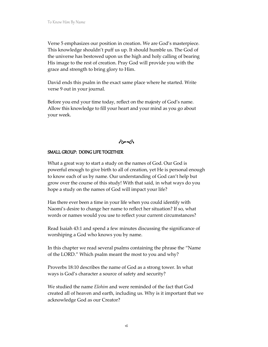Verse 5 emphasizes our position in creation. We are God's masterpiece. This knowledge shouldn't puff us up. It should humble us. The God of the universe has bestowed upon us the high and holy calling of bearing His image to the rest of creation. Pray God will provide you with the grace and strength to bring glory to Him.

David ends this psalm in the exact same place where he started. Write verse 9 out in your journal.

Before you end your time today, reflect on the majesty of God's name. Allow this knowledge to fill your heart and your mind as you go about your week.



#### SMALL GROUP: DOING LIFE TOGETHER

What a great way to start a study on the names of God. Our God is powerful enough to give birth to all of creation, yet He is personal enough to know each of us by name. Our understanding of God can't help but grow over the course of this study! With that said, in what ways do you hope a study on the names of God will impact your life?

Has there ever been a time in your life when you could identify with Naomi's desire to change her name to reflect her situation? If so, what words or names would you use to reflect your current circumstances?

Read Isaiah 43:1 and spend a few minutes discussing the significance of worshiping a God who knows you by name.

In this chapter we read several psalms containing the phrase the "Name of the LORD." Which psalm meant the most to you and why?

Proverbs 18:10 describes the name of God as a strong tower. In what ways is God's character a source of safety and security?

We studied the name *Elohim* and were reminded of the fact that God created all of heaven and earth, including us. Why is it important that we acknowledge God as our Creator?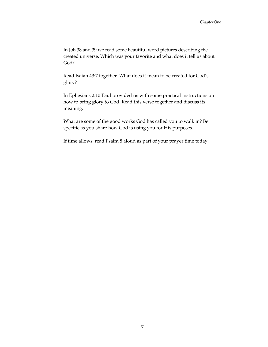In Job 38 and 39 we read some beautiful word pictures describing the created universe. Which was your favorite and what does it tell us about God?

Read Isaiah 43:7 together. What does it mean to be created for God's glory?

In Ephesians 2:10 Paul provided us with some practical instructions on how to bring glory to God. Read this verse together and discuss its meaning.

What are some of the good works God has called you to walk in? Be specific as you share how God is using you for His purposes.

If time allows, read Psalm 8 aloud as part of your prayer time today.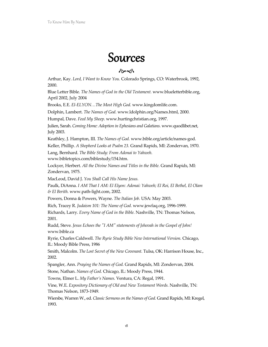## Sources

#### $\hat{\sigma}$

Arthur, Kay. *Lord, I Want to Know You.* Colorado Springs, CO: Waterbrook, 1992, 2000.

Blue Letter Bible*. The Names of God in the Old Testament.* www.blueletterbible.org, April 2002, July 2004

Brooks, E.E. *El-ELYON…The Most High God.* www.kingdomlife.com.

Dolphin, Lambert. *The Names of God.* www.ldolphin.org/Names.html, 2000.

Humpal, Dave. *Feed My Sheep.* www.hurtingchristian.org, 1997.

Julien, Sarah. *Coming Home: Adoption in Ephesians and Galatians.* www.quodlibet.net, July 2003.

Keathley, J. Hampton, III. *The Names of God.* www.bible.org/article/names-god.

Keller, Phillip. *A Shepherd Looks at Psalm 23.* Grand Rapids, MI: Zondervan, 1970.

Lang, Bernhard. *The Bible Study: From Adonai to Yahweh.* 

www.bibletopics.com/biblestudy/154.htm.

Lockyer, Herbert. *All the Divine Names and Titles in the Bible.* Grand Rapids, MI: Zondervan, 1975.

MacLeod, David J. *You Shall Call His Name Jesus.* 

Paulk, DiAnna. *I AM That I AM: El Elyon: Adonai: Yahweh; El Roi, El Bethel, El Olam & El Berith.* www.path-light.com, 2002.

Powers, Donna & Powers, Wayne. *The Italian Job.* USA: May 2003.

Rich, Tracey R. *Judaism 101: The Name of God.* www.jewfaq.org, 1996-1999.

Richards, Larry. *Every Name of God in the Bible*. Nashville, TN: Thomas Nelson, 2001.

Rudd, Steve*. Jesus Echoes the "I AM" statements of Jehovah in the Gospel of John!* www.bible.ca

Ryrie, Charles Caldwell. *The Ryrie Study Bible New International Version.* Chicago, IL: Moody Bible Press, 1986

Smith, Malcolm. *The Lost Secret of the New Covenant.* Tulsa, OK: Harrison House, Inc., 2002.

Spangler, Ann. *Praying the Names of God.* Grand Rapids, MI: Zondervan, 2004.

Stone, Nathan. *Names of God.* Chicago, IL: Moody Press, 1944.

Towns, Elmer L. *My Father's Names.* Ventura, CA: Regal, 1991.

Vine, W.E. *Expository Dictionary of Old and New Testament Words.* Nashville, TN: Thomas Nelson, 1873-1949.

Wiersbe, Warren W., ed. *Classic Sermons on the Names of God.* Grand Rapids, MI: Kregel, 1993.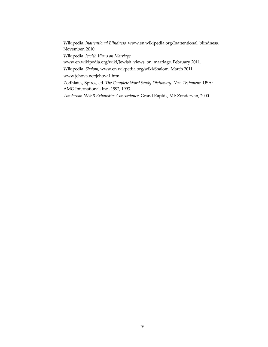Wikipedia. *Inattentional Blindness.* www.en.wikipedia.org/Inattentional\_blindness. November, 2010.

Wikipedia. *Jewish Views on Marriage.* 

www.en.wikipedia.org/wiki/Jewish\_views\_on\_marriage, February 2011.

Wikipedia. *Shalom,* www.en.wikpedia.org/wiki/Shalom, March 2011.

www.jehova.net/jehova1.htm.

Zodhiates, Spiros, ed. *The Complete Word Study Dictionary: New Testament.* USA: AMG International, Inc., 1992, 1993.

*Zondervan NASB Exhaustive Concordance*. Grand Rapids, MI: Zondervan, 2000.